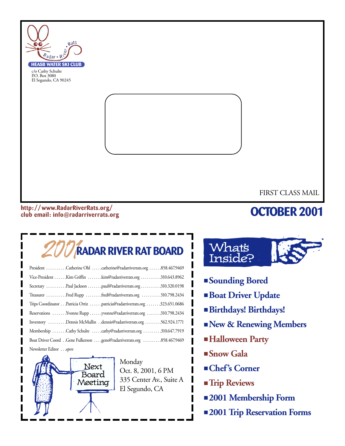

#### **http: //www.RadarRiverRats.org/ club email: info@radarriverrats.org**

## **OCTOBER 2001**

# 2001**RADAR RIVER RAT BOARD**

| President Catherine Ohl catherine@radarriverrats.org 858.467.9469         |
|---------------------------------------------------------------------------|
| Vice-President Kim Griffin kim@radarriverrats.org 310.643.8962            |
| Secretary Paul Jackson paul@radarriverrats.org310.320.0198                |
| Treasurer Fred Rupp fred@radarriverrats.org 310.798.2434                  |
| Trips Coordinator Patricia Ortiz patricia@radarriverrats.org 323.651.0686 |
| Reservations Yvonne Rupp yvonne@radarriverrats.org 310.798.2434           |
| Inventory Dennis McMullin dennis@radarriverrats.org 562.924.1771          |
| Membership Cathy Schulte cathy@radarriverrats.org 310.647.7919            |
|                                                                           |
| Newsletter Editor open                                                    |



Monday Oct. 8, 2001, 6 PM 335 Center Av., Suite A El Segundo, CA



- **Sounding Bored**
- **Boat Driver Update**
- **Birthdays! Birthdays!**
- **New & Renewing Members**
- ■**Halloween Party**
- **Snow Gala**
- **Chef's Corner**
- **Trip Reviews**
- **2001 Membership Form**
- **2001 Trip Reservation Forms**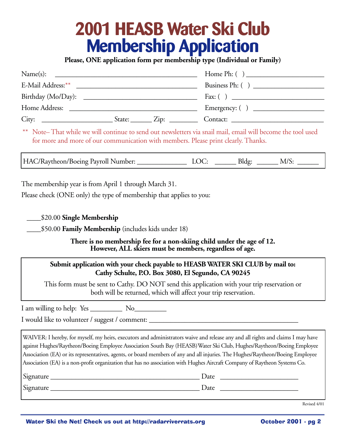# **2001 HEASB Water Ski Club Membership Application**

**Please, ONE application form per membership type (Individual or Family)**

| Name(s):<br><u> 2000 - 2000 - 2000 - 2000 - 2000 - 2000 - 2000 - 2000 - 2000 - 2000 - 2000 - 2000 - 2000 - 2000 - 2000 - 2000 - 2000 - 2000 - 2000 - 2000 - 2000 - 2000 - 2000 - 2000 - 2000 - 2000 - 2000 - 2000 - 2000 - 2000 - 2000 - 200</u> | Home Ph: $\left( \quad \right)$ |
|--------------------------------------------------------------------------------------------------------------------------------------------------------------------------------------------------------------------------------------------------|---------------------------------|
|                                                                                                                                                                                                                                                  |                                 |
|                                                                                                                                                                                                                                                  |                                 |
| Home Address:                                                                                                                                                                                                                                    |                                 |
| City:<br>State: $\angle Zip: \angle$                                                                                                                                                                                                             |                                 |

\*\* Note– That while we will continue to send out newsletters via snail mail, email will become the tool used for more and more of our communication with members. Please print clearly. Thanks.

HAC/Raytheon/Boeing Payroll Number: LOC: \_\_\_\_\_\_\_\_ Bldg: \_\_\_\_\_\_ M/S:

The membership year is from April 1 through March 31.

Please check (ONE only) the type of membership that applies to you:

\_\_\_\_\$20.00 **Single Membership**

\_\_\_\_\$50.00 **Family Membership** (includes kids under 18)

**There is no membership fee for a non-skiing child under the age of 12. However, ALL skiers must be members, regardless of age.**

#### **Submit application with your check payable to HEASB WATER SKI CLUB by mail to: Cathy Schulte, P.O. Box 3080, El Segundo, CA 90245**

This form must be sent to Cathy. DO NOT send this application with your trip reservation or both will be returned, which will affect your trip reservation.

I am willing to help: Yes No

I would like to volunteer / suggest / comment: \_\_\_\_\_\_\_\_\_\_\_\_\_\_\_\_\_\_\_\_\_\_\_\_\_\_\_\_\_\_\_\_\_

WAIVER: I hereby, for myself, my heirs, executors and administrators waive and release any and all rights and claims I may have against Hughes/Raytheon/Boeing Employee Association South Bay (HEASB)Water Ski Club, Hughes/Raytheon/Boeing Employee Association (EA) or its representatives, agents, or board members of any and all injuries. The Hughes/Raytheon/Boeing Employee Association (EA) is a non-profit organization that has no association with Hughes Aircraft Company of Raytheon Systems Co.

| Signature | Date |
|-----------|------|
| Signature | Date |

Revised 4/01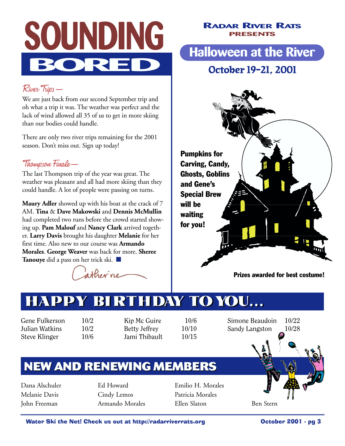

#### **RADAR RIVER RATS PRESENTS**

## **Halloween at the River**

### **October 19-21, 2001**

### River Trips—

We are just back from our second September trip and oh what a trip it was. The weather was perfect and the lack of wind allowed all 35 of us to get in more skiing than our bodies could handle.

There are only two river trips remaining for the 2001 season. Don't miss out. Sign up today!

### Thompson Finale—

The last Thompson trip of the year was great. The weather was pleasant and all had more skiing than they could handle. A lot of people were passing on turns.

**Maury Adler** showed up with his boat at the crack of 7 AM. **Tina** & **Dave Makowski** and **Dennis McMullin** had completed two runs before the crowd started showing up. **Pam Malouf** and **Nancy Clark** arrived together. **Larry Davis** brought his daughter **Melanie** for her first time. Also new to our course was **Armando Morales**. **George Weaver** was back for more. **Sheree Tanouye** did a pass on her trick ski. ■

atherne



# **HAPPY BIRTHDAY TO YOU...**

Gene Fulkerson 10/2 Julian Watkins 10/2 Steve Klinger 10/6

Kip Mc Guire 10/6 Betty Jeffrey 10/10 Jami Thibault 10/15

Simone Beaudoin 10/22 Sandy Langston 10/28

## **NEW AND RENEWING MEMBERS**

Dana Alschuler Melanie Davis John Freeman

Ed Howard Cindy Lemos Armando Morales Emilio H. Morales Patricia Morales Ellen Slaton Ben Stern